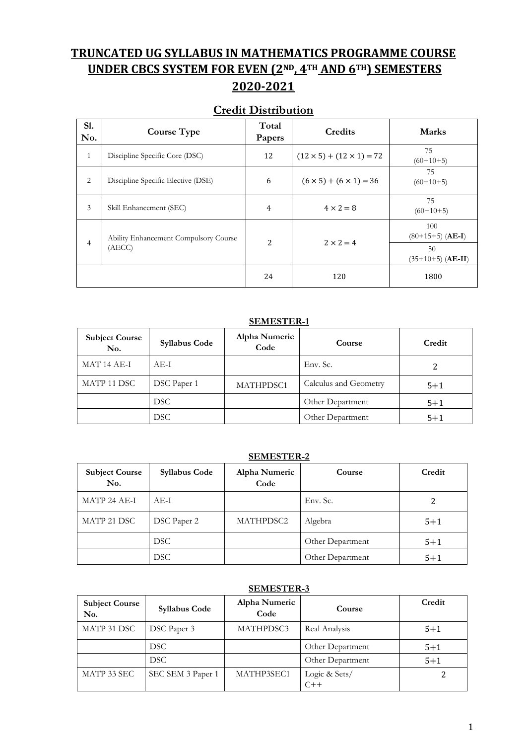## **TRUNCATED UG SYLLABUS IN MATHEMATICS PROGRAMME COURSE UNDER CBCS SYSTEM FOR EVEN (2ND, 4TH AND 6TH) SEMESTERS**

## **2020-2021**

### **Credit Distribution**

| S1.<br>No.     | <b>Course Type</b>                              | Total<br>Papers | <b>Credits</b>                       | <b>Marks</b>                                                             |
|----------------|-------------------------------------------------|-----------------|--------------------------------------|--------------------------------------------------------------------------|
| 1              | Discipline Specific Core (DSC)                  | 12              | $(12 \times 5) + (12 \times 1) = 72$ | 75<br>$(60+10+5)$                                                        |
| 2              | Discipline Specific Elective (DSE)              | 6               | $(6 \times 5) + (6 \times 1) = 36$   | 75<br>$(60+10+5)$                                                        |
| 3              | Skill Enhancement (SEC)                         | 4               | $4 \times 2 = 8$                     | 75<br>$(60+10+5)$                                                        |
| $\overline{4}$ | Ability Enhancement Compulsory Course<br>(AECC) | 2               | $2 \times 2 = 4$                     | 100<br>$(80+15+5)$ ( <b>AE-I</b> )<br>50<br>$(35+10+5)$ ( <b>AE-II</b> ) |
|                |                                                 | 24              | 120                                  | 1800                                                                     |

#### **SEMESTER-1**

| <b>Subject Course</b><br>No. | <b>Syllabus Code</b> | Alpha Numeric<br>Code | Course                | Credit  |
|------------------------------|----------------------|-----------------------|-----------------------|---------|
| MAT 14 AE-I                  | AE-I                 |                       | Env. Sc.              |         |
| MATP 11 DSC                  | DSC Paper 1          | MATHPDSC1             | Calculus and Geometry | $5 + 1$ |
|                              | DSC.                 |                       | Other Department      | $5 + 1$ |
|                              | DSC.                 |                       | Other Department      | $5 + 1$ |

#### **SEMESTER-2**

| <b>Subject Course</b><br>No. | <b>Syllabus Code</b> | Alpha Numeric<br>Code | Course           | Credit  |
|------------------------------|----------------------|-----------------------|------------------|---------|
| MATP 24 AE-I                 | AE-I                 |                       | Env. Sc.         |         |
| MATP 21 DSC                  | DSC Paper 2          | MATHPDSC2             | Algebra          | $5 + 1$ |
|                              | <b>DSC</b>           |                       | Other Department | $5 + 1$ |
|                              | <b>DSC</b>           |                       | Other Department | $5 + 1$ |

#### **SEMESTER-3**

| <b>Subject Course</b><br>No. | <b>Syllabus Code</b> | Alpha Numeric<br>Code | Course                 | Credit  |
|------------------------------|----------------------|-----------------------|------------------------|---------|
| MATP 31 DSC                  | DSC Paper 3          | MATHPDSC3             | Real Analysis          | $5 + 1$ |
|                              | DSC.                 |                       | Other Department       | $5 + 1$ |
|                              | DSC.                 |                       | Other Department       | $5 + 1$ |
| MATP 33 SEC                  | SEC SEM 3 Paper 1    | MATHP3SEC1            | Logic & Sets/<br>$C++$ |         |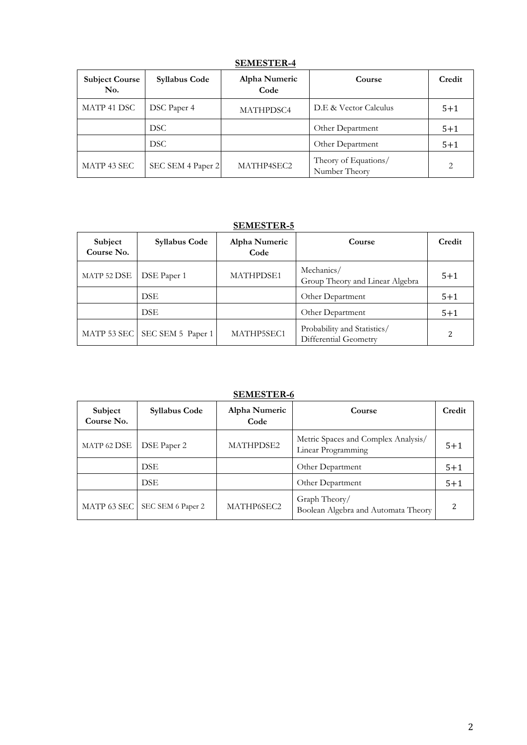| <b>Subject Course</b><br>No. | <b>Syllabus Code</b> | Alpha Numeric<br>Code | Course                                | Credit  |
|------------------------------|----------------------|-----------------------|---------------------------------------|---------|
| MATP 41 DSC                  | DSC Paper 4          | <b>MATHPDSC4</b>      | D.E & Vector Calculus                 | $5 + 1$ |
|                              | DSC.                 |                       | Other Department                      | $5 + 1$ |
|                              | DSC.                 |                       | Other Department                      | $5 + 1$ |
| MATP 43 SEC                  | SEC SEM 4 Paper 2    | MATHP4SEC2            | Theory of Equations/<br>Number Theory | 2       |

#### **SEMESTER-4**

### **SEMESTER-5**

| Subject<br>Course No. | <b>Syllabus Code</b> | Alpha Numeric<br>Code | <b>Course</b>                                        | Credit                   |
|-----------------------|----------------------|-----------------------|------------------------------------------------------|--------------------------|
| MATP 52 DSE           | DSE Paper 1          | <b>MATHPDSE1</b>      | Mechanics/<br>Group Theory and Linear Algebra        | $5 + 1$                  |
|                       | <b>DSE</b>           |                       | Other Department                                     | $5 + 1$                  |
|                       | <b>DSE</b>           |                       | Other Department                                     | $5 + 1$                  |
| MATP 53 SEC           | SEC SEM 5 Paper 1    | MATHP5SEC1            | Probability and Statistics/<br>Differential Geometry | $\overline{\mathcal{L}}$ |

#### **SEMESTER-6**

| Subject<br>Course No. | <b>Syllabus Code</b> | Alpha Numeric<br>Code | Course                                                    | Credit  |
|-----------------------|----------------------|-----------------------|-----------------------------------------------------------|---------|
| MATP 62 DSE           | DSE Paper 2          | <b>MATHPDSE2</b>      | Metric Spaces and Complex Analysis/<br>Linear Programming | $5 + 1$ |
|                       | <b>DSE</b>           |                       | Other Department                                          | $5 + 1$ |
|                       | <b>DSE</b>           |                       | Other Department                                          | $5 + 1$ |
| MATP 63 SEC           | SEC SEM 6 Paper 2    | MATHP6SEC2            | Graph Theory/<br>Boolean Algebra and Automata Theory      | າ       |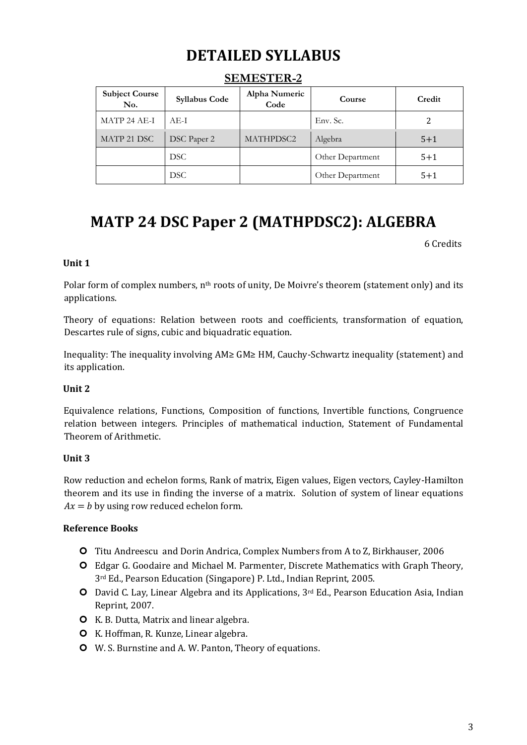# **DETAILED SYLLABUS**

| <b>Subject Course</b><br>No. | <b>Syllabus Code</b> | Alpha Numeric<br>Code | <b>Course</b>    | Credit  |
|------------------------------|----------------------|-----------------------|------------------|---------|
| MATP 24 AE-I                 | AE-I                 |                       | Env. Sc.         | 2       |
| MATP 21 DSC                  | DSC Paper 2          | MATHPDSC2             | Algebra          | $5 + 1$ |
|                              | DSC.                 |                       | Other Department | $5 + 1$ |
|                              | DSC.                 |                       | Other Department | $5 + 1$ |

### **SEMESTER-2**

## **MATP 24 DSC Paper 2 (MATHPDSC2): ALGEBRA**

6 Credits

#### **Unit 1**

Polar form of complex numbers, n<sup>th</sup> roots of unity, De Moivre's theorem (statement only) and its applications.

Theory of equations: Relation between roots and coefficients, transformation of equation, Descartes rule of signs, cubic and biquadratic equation.

Inequality: The inequality involving AM≥ GM≥ HM, Cauchy-Schwartz inequality (statement) and its application.

#### **Unit 2**

Equivalence relations, Functions, Composition of functions, Invertible functions, Congruence relation between integers. Principles of mathematical induction, Statement of Fundamental Theorem of Arithmetic.

#### **Unit 3**

Row reduction and echelon forms, Rank of matrix, Eigen values, Eigen vectors, Cayley-Hamilton theorem and its use in finding the inverse of a matrix. Solution of system of linear equations  $Ax = b$  by using row reduced echelon form.

- Titu Andreescu and Dorin Andrica, Complex Numbers from A to Z, Birkhauser, 2006
- Edgar G. Goodaire and Michael M. Parmenter, Discrete Mathematics with Graph Theory, 3rd Ed., Pearson Education (Singapore) P. Ltd., Indian Reprint, 2005.
- David C. Lay, Linear Algebra and its Applications, 3rd Ed., Pearson Education Asia, Indian Reprint, 2007.
- K. B. Dutta, Matrix and linear algebra.
- **O** K. Hoffman, R. Kunze, Linear algebra.
- W. S. Burnstine and A. W. Panton, Theory of equations.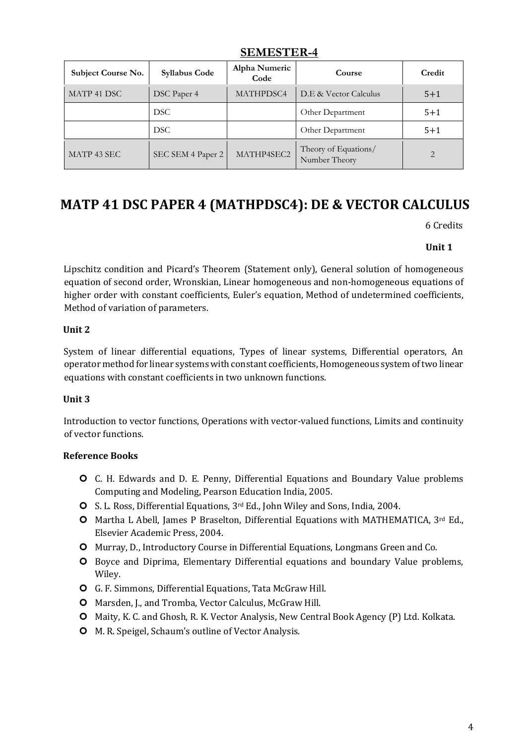| Subject Course No. | <b>Syllabus Code</b> | Alpha Numeric<br>Code | Course                                | Credit  |
|--------------------|----------------------|-----------------------|---------------------------------------|---------|
| MATP 41 DSC        | DSC Paper 4          | MATHPDSC4             | D.E & Vector Calculus                 | $5 + 1$ |
|                    | DSC.                 |                       | Other Department                      | $5 + 1$ |
|                    | <b>DSC</b>           |                       | Other Department                      | $5 + 1$ |
| MATP 43 SEC        | SEC SEM 4 Paper 2    | MATHP4SEC2            | Theory of Equations/<br>Number Theory | 2       |

### **SEMESTER-4**

### **MATP 41 DSC PAPER 4 (MATHPDSC4): DE & VECTOR CALCULUS**

6 Credits

#### **Unit 1**

Lipschitz condition and Picard's Theorem (Statement only), General solution of homogeneous equation of second order, Wronskian, Linear homogeneous and non-homogeneous equations of higher order with constant coefficients, Euler's equation, Method of undetermined coefficients, Method of variation of parameters.

#### **Unit 2**

System of linear differential equations, Types of linear systems, Differential operators, An operator method for linear systems with constant coefficients, Homogeneous system of two linear equations with constant coefficients in two unknown functions.

#### **Unit 3**

Introduction to vector functions, Operations with vector-valued functions, Limits and continuity of vector functions.

- C. H. Edwards and D. E. Penny, Differential Equations and Boundary Value problems Computing and Modeling, Pearson Education India, 2005.
- S. L. Ross, Differential Equations, 3rd Ed., John Wiley and Sons, India, 2004.
- Martha L Abell, James P Braselton, Differential Equations with MATHEMATICA, 3rd Ed., Elsevier Academic Press, 2004.
- Murray, D., Introductory Course in Differential Equations, Longmans Green and Co.
- **O** Boyce and Diprima, Elementary Differential equations and boundary Value problems, Wiley.
- G. F. Simmons, Differential Equations, Tata McGraw Hill.
- Marsden, J., and Tromba, Vector Calculus, McGraw Hill.
- Maity, K. C. and Ghosh, R. K. Vector Analysis, New Central Book Agency (P) Ltd. Kolkata.
- M. R. Speigel, Schaum's outline of Vector Analysis.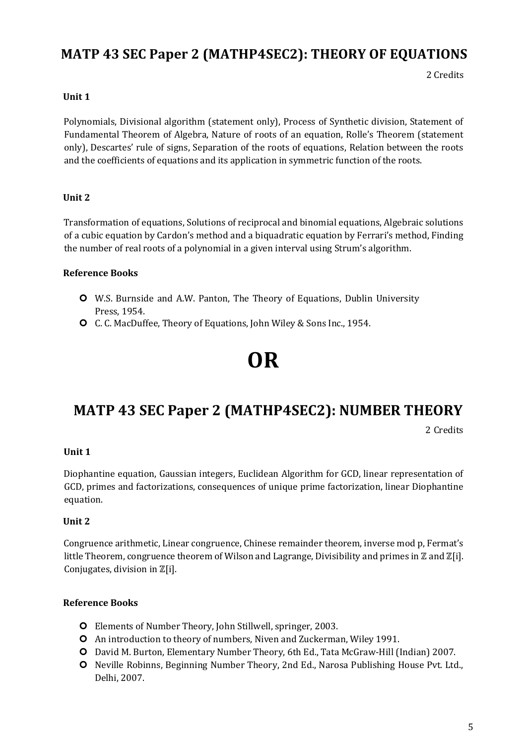### **MATP 43 SEC Paper 2 (MATHP4SEC2): THEORY OF EQUATIONS**

2 Credits

#### **Unit 1**

Polynomials, Divisional algorithm (statement only), Process of Synthetic division, Statement of Fundamental Theorem of Algebra, Nature of roots of an equation, Rolle's Theorem (statement only), Descartes' rule of signs, Separation of the roots of equations, Relation between the roots and the coefficients of equations and its application in symmetric function of the roots.

#### **Unit 2**

Transformation of equations, Solutions of reciprocal and binomial equations, Algebraic solutions of a cubic equation by Cardon's method and a biquadratic equation by Ferrari's method, Finding the number of real roots of a polynomial in a given interval using Strum's algorithm.

#### **Reference Books**

- W.S. Burnside and A.W. Panton, The Theory of Equations, Dublin University Press, 1954.
- C. C. MacDuffee, Theory of Equations, John Wiley & Sons Inc., 1954.

# **OR**

### **MATP 43 SEC Paper 2 (MATHP4SEC2): NUMBER THEORY**

2 Credits

#### **Unit 1**

Diophantine equation, Gaussian integers, Euclidean Algorithm for GCD, linear representation of GCD, primes and factorizations, consequences of unique prime factorization, linear Diophantine equation.

#### **Unit 2**

Congruence arithmetic, Linear congruence, Chinese remainder theorem, inverse mod p, Fermat's little Theorem, congruence theorem of Wilson and Lagrange, Divisibility and primes in  $\mathbb Z$  and  $\mathbb Z[i]$ . Conjugates, division in ℤ[i].

- Elements of Number Theory, John Stillwell, springer, 2003.
- An introduction to theory of numbers, Niven and Zuckerman, Wiley 1991.
- David M. Burton, Elementary Number Theory, 6th Ed., Tata McGraw‐Hill (Indian) 2007.
- O Neville Robinns, Beginning Number Theory, 2nd Ed., Narosa Publishing House Pvt. Ltd., Delhi, 2007.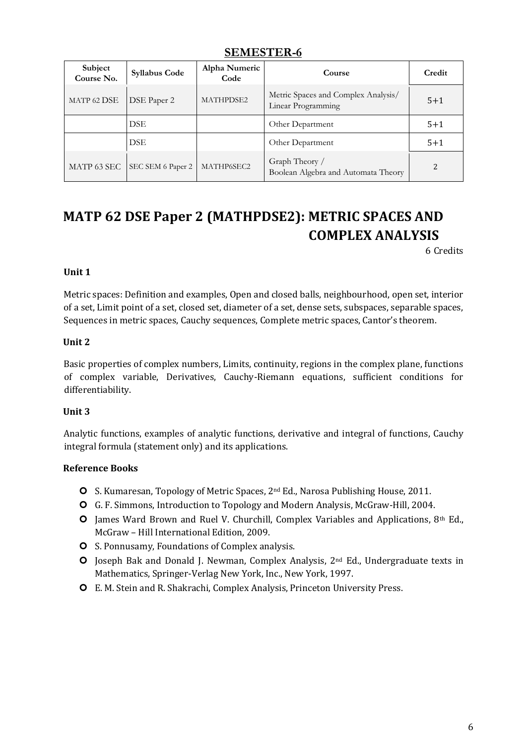### **SEMESTER-6**

| Subject<br>Course No. | <b>Syllabus Code</b> | Alpha Numeric<br>Code | Course                                                    | Credit  |
|-----------------------|----------------------|-----------------------|-----------------------------------------------------------|---------|
| MATP 62 DSE           | DSE Paper 2          | MATHPDSE2             | Metric Spaces and Complex Analysis/<br>Linear Programming | $5 + 1$ |
|                       | <b>DSE</b>           |                       | Other Department                                          | $5 + 1$ |
|                       | <b>DSE</b>           |                       | Other Department                                          | $5 + 1$ |
| MATP 63 SEC           | SEC SEM 6 Paper 2    | MATHP6SEC2            | Graph Theory /<br>Boolean Algebra and Automata Theory     |         |

# **MATP 62 DSE Paper 2 (MATHPDSE2): METRIC SPACES AND COMPLEX ANALYSIS**

6 Credits

#### **Unit 1**

Metric spaces: Definition and examples, Open and closed balls, neighbourhood, open set, interior of a set, Limit point of a set, closed set, diameter of a set, dense sets, subspaces, separable spaces, Sequences in metric spaces, Cauchy sequences, Complete metric spaces, Cantor's theorem.

#### **Unit 2**

Basic properties of complex numbers, Limits, continuity, regions in the complex plane, functions of complex variable, Derivatives, Cauchy-Riemann equations, sufficient conditions for differentiability.

#### **Unit 3**

Analytic functions, examples of analytic functions, derivative and integral of functions, Cauchy integral formula (statement only) and its applications.

- **O** S. Kumaresan, Topology of Metric Spaces, 2<sup>nd</sup> Ed., Narosa Publishing House, 2011.
- G. F. Simmons, Introduction to Topology and Modern Analysis, McGraw-Hill, 2004.
- $\bullet$  James Ward Brown and Ruel V. Churchill, Complex Variables and Applications, 8th Ed., McGraw – Hill International Edition, 2009.
- **O** S. Ponnusamy, Foundations of Complex analysis.
- O Joseph Bak and Donald J. Newman, Complex Analysis, 2<sup>nd</sup> Ed., Undergraduate texts in Mathematics, Springer-Verlag New York, Inc., New York, 1997.
- E. M. Stein and R. Shakrachi, Complex Analysis, Princeton University Press.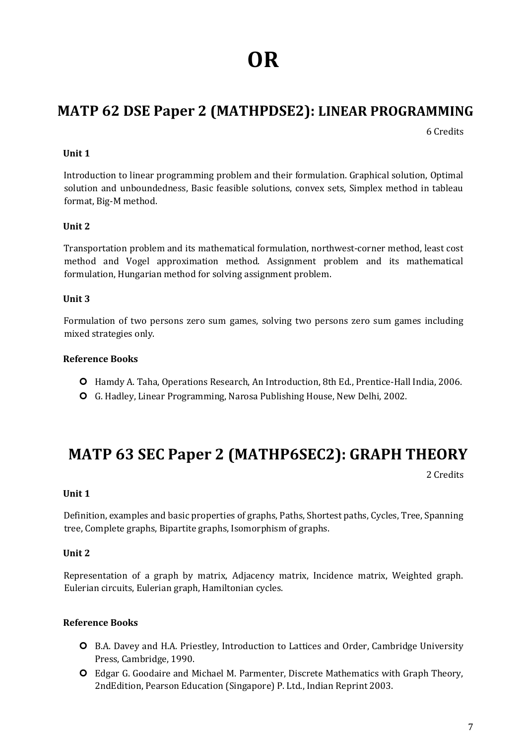# **OR**

## **MATP 62 DSE Paper 2 (MATHPDSE2): LINEAR PROGRAMMING**

6 Credits

#### **Unit 1**

Introduction to linear programming problem and their formulation. Graphical solution, Optimal solution and unboundedness, Basic feasible solutions, convex sets, Simplex method in tableau format, Big‐M method.

#### **Unit 2**

Transportation problem and its mathematical formulation, northwest‐corner method, least cost method and Vogel approximation method. Assignment problem and its mathematical formulation, Hungarian method for solving assignment problem.

#### **Unit 3**

Formulation of two persons zero sum games, solving two persons zero sum games including mixed strategies only.

#### **Reference Books**

- **O** Hamdy A. Taha, Operations Research, An Introduction, 8th Ed., Prentice-Hall India, 2006.
- G. Hadley, Linear Programming, Narosa Publishing House, New Delhi, 2002.

# **MATP 63 SEC Paper 2 (MATHP6SEC2): GRAPH THEORY**

2 Credits

#### **Unit 1**

Definition, examples and basic properties of graphs, Paths, Shortest paths, Cycles, Tree, Spanning tree, Complete graphs, Bipartite graphs, Isomorphism of graphs.

#### **Unit 2**

Representation of a graph by matrix, Adjacency matrix, Incidence matrix, Weighted graph. Eulerian circuits, Eulerian graph, Hamiltonian cycles.

- B.A. Davey and H.A. Priestley, Introduction to Lattices and Order, Cambridge University Press, Cambridge, 1990.
- Edgar G. Goodaire and Michael M. Parmenter, Discrete Mathematics with Graph Theory, 2ndEdition, Pearson Education (Singapore) P. Ltd., Indian Reprint 2003.